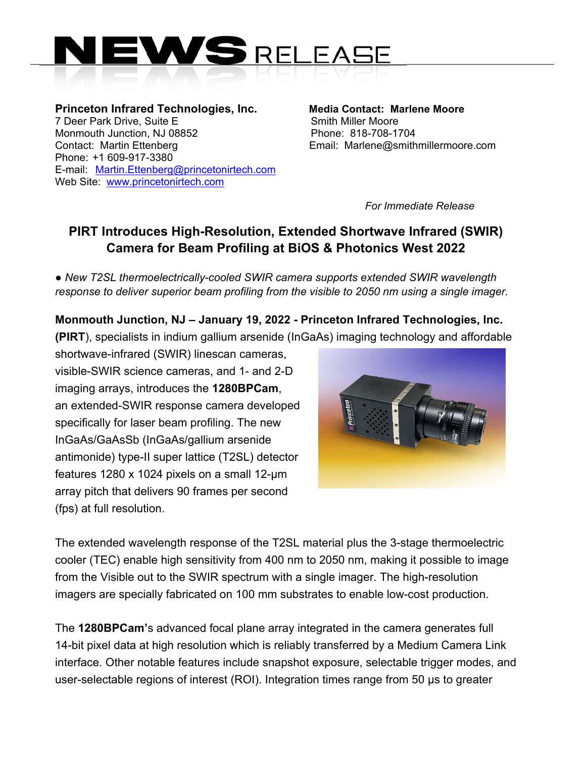

**Princeton Infrared Technologies, Inc. Media Contact: Marlene Moore**  7 Deer Park Drive, Suite E Smith Miller Moore Monmouth Junction, NJ 08852 Phone: 818-708-1704 Contact: Martin Ettenberg Email: Marlene@smithmillermoore.com Phone: +1 609-917-3380 E-mail: Martin.Ettenberg@princetonirtech.com Web Site: www.princetonirtech.com

*For Immediate Release* 

## **PIRT Introduces High-Resolution, Extended Shortwave Infrared (SWIR) Camera for Beam Profiling at BiOS & Photonics West 2022**

*● New T2SL thermoelectrically-cooled SWIR camera supports extended SWIR wavelength response to deliver superior beam profiling from the visible to 2050 nm using a single imager.* 

**Monmouth Junction, NJ – January 19, 2022 - Princeton Infrared Technologies, Inc. (PIRT**), specialists in indium gallium arsenide (InGaAs) imaging technology and affordable

shortwave-infrared (SWIR) linescan cameras, visible-SWIR science cameras, and 1- and 2-D imaging arrays, introduces the **1280BPCam**, an extended-SWIR response camera developed specifically for laser beam profiling. The new InGaAs/GaAsSb (InGaAs/gallium arsenide antimonide) type-II super lattice (T2SL) detector features 1280 x 1024 pixels on a small 12-µm array pitch that delivers 90 frames per second (fps) at full resolution.



The extended wavelength response of the T2SL material plus the 3-stage thermoelectric cooler (TEC) enable high sensitivity from 400 nm to 2050 nm, making it possible to image from the Visible out to the SWIR spectrum with a single imager. The high-resolution imagers are specially fabricated on 100 mm substrates to enable low-cost production.

The **1280BPCam'**s advanced focal plane array integrated in the camera generates full 14-bit pixel data at high resolution which is reliably transferred by a Medium Camera Link interface. Other notable features include snapshot exposure, selectable trigger modes, and user-selectable regions of interest (ROI). Integration times range from 50 µs to greater